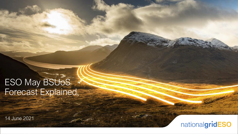# ESO May BSUOS

14 June 2021